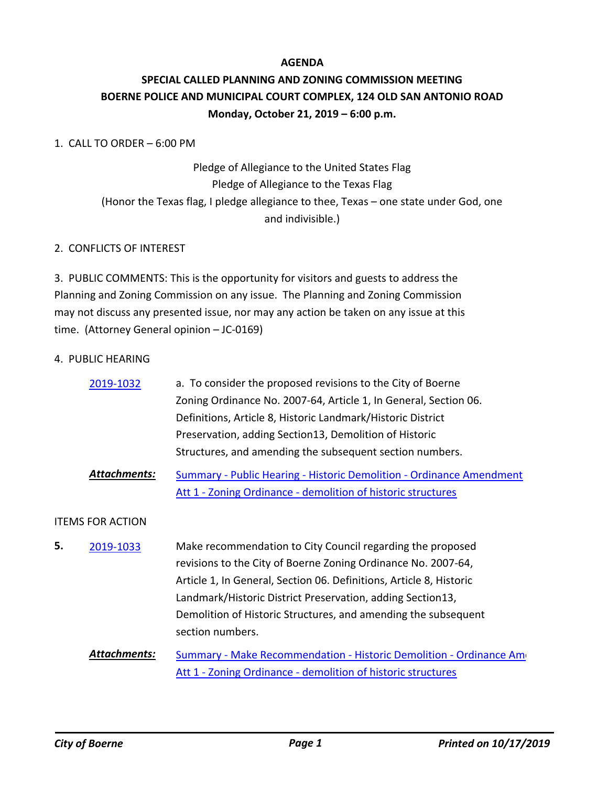# **AGENDA**

# **SPECIAL CALLED PLANNING AND ZONING COMMISSION MEETING BOERNE POLICE AND MUNICIPAL COURT COMPLEX, 124 OLD SAN ANTONIO ROAD Monday, October 21, 2019 – 6:00 p.m.**

# 1. CALL TO ORDER – 6:00 PM

# Pledge of Allegiance to the United States Flag Pledge of Allegiance to the Texas Flag (Honor the Texas flag, I pledge allegiance to thee, Texas – one state under God, one and indivisible.)

# 2. CONFLICTS OF INTEREST

3. PUBLIC COMMENTS: This is the opportunity for visitors and guests to address the Planning and Zoning Commission on any issue. The Planning and Zoning Commission may not discuss any presented issue, nor may any action be taken on any issue at this time. (Attorney General opinion – JC-0169)

#### 4. PUBLIC HEARING

| a. To consider the proposed revisions to the City of Boerne                                                                                                                                        |
|----------------------------------------------------------------------------------------------------------------------------------------------------------------------------------------------------|
| Zoning Ordinance No. 2007-64, Article 1, In General, Section 06.                                                                                                                                   |
| Definitions, Article 8, Historic Landmark/Historic District                                                                                                                                        |
| Preservation, adding Section 13, Demolition of Historic                                                                                                                                            |
| Structures, and amending the subsequent section numbers.                                                                                                                                           |
| Summary - Public Hearing - Historic Demolition - Ordinance Amendment<br>Att 1 - Zoning Ordinance - demolition of historic structures                                                               |
|                                                                                                                                                                                                    |
| Make recommendation to City Council regarding the proposed<br>revisions to the City of Boerne Zoning Ordinance No. 2007-64,<br>Article 1, In General, Section 06. Definitions, Article 8, Historic |
|                                                                                                                                                                                                    |

Landmark/Historic District Preservation, adding Section13, Demolition of Historic Structures, and amending the subsequent section numbers.

[Summary - Make Recommendation - Historic Demolition - Ordinance Ame](http://boerne.legistar.com/gateway.aspx?M=F&ID=f110ec6f-1f73-4b12-84c1-18e6b40c6ec1.doc) [Att 1 - Zoning Ordinance - demolition of historic structures](http://boerne.legistar.com/gateway.aspx?M=F&ID=88c00809-d4a6-412c-9837-b749abd30467.docx) *Attachments:*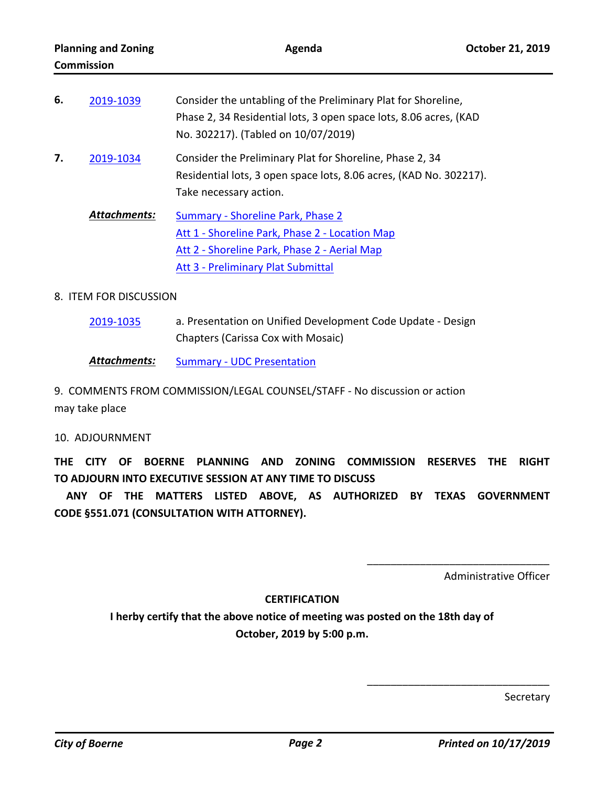| 6. | 2019-1039           | Consider the untabling of the Preliminary Plat for Shoreline,<br>Phase 2, 34 Residential lots, 3 open space lots, 8.06 acres, (KAD<br>No. 302217). (Tabled on 10/07/2019) |
|----|---------------------|---------------------------------------------------------------------------------------------------------------------------------------------------------------------------|
| 7. | 2019-1034           | Consider the Preliminary Plat for Shoreline, Phase 2, 34<br>Residential lots, 3 open space lots, 8.06 acres, (KAD No. 302217).<br>Take necessary action.                  |
|    | <b>Attachments:</b> | Summary - Shoreline Park, Phase 2<br>Att 1 - Shoreline Park, Phase 2 - Location Map<br>Att 2 - Shoreline Park, Phase 2 - Aerial Map<br>Att 3 - Preliminary Plat Submittal |

# 8. ITEM FOR DISCUSSION

a. Presentation on Unified Development Code Update - Design Chapters (Carissa Cox with Mosaic) [2019-1035](http://boerne.legistar.com/gateway.aspx?m=l&id=/matter.aspx?key=4861)

**Attachments:** [Summary - UDC Presentation](http://boerne.legistar.com/gateway.aspx?M=F&ID=d4586c29-09ee-4afe-8e3a-2e5519fb10e7.doc)

9. COMMENTS FROM COMMISSION/LEGAL COUNSEL/STAFF - No discussion or action may take place

# 10. ADJOURNMENT

**THE CITY OF BOERNE PLANNING AND ZONING COMMISSION RESERVES THE RIGHT TO ADJOURN INTO EXECUTIVE SESSION AT ANY TIME TO DISCUSS**

 **ANY OF THE MATTERS LISTED ABOVE, AS AUTHORIZED BY TEXAS GOVERNMENT CODE §551.071 (CONSULTATION WITH ATTORNEY).**

Administrative Officer

\_\_\_\_\_\_\_\_\_\_\_\_\_\_\_\_\_\_\_\_\_\_\_\_\_\_\_\_\_\_\_

\_\_\_\_\_\_\_\_\_\_\_\_\_\_\_\_\_\_\_\_\_\_\_\_\_\_\_\_\_\_\_

# **CERTIFICATION**

**I herby certify that the above notice of meeting was posted on the 18th day of October, 2019 by 5:00 p.m.**

Secretary